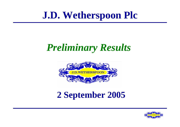# **J.D. Wetherspoon Plc**

# *Preliminary Results*



### **2 September 2005**

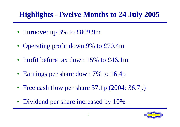### **Highlights -Twelve Months to 24 July 2005**

- Turnover up 3% to £809.9m
- Operating profit down 9% to £70.4m
- Profit before tax down 15% to £46.1m
- Earnings per share down 7% to 16.4p
- Free cash flow per share 37.1p (2004: 36.7p)
- Dividend per share increased by 10%

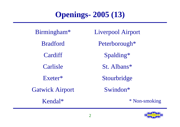#### **Openings- 2005 (13)**

Birmingham\* Bradford **Cardiff** CarlisleExeter\* Gatwick Airport Kendal\* \* Non-smoking

Liverpool Airport Peterborough\* Spalding\* St. Albans\* Stourbridge Swindon\*

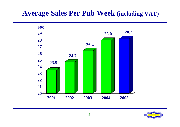#### **Average Sales Per Pub Week (including VAT)**



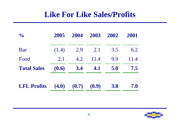#### **Like For Like Sales/Profits**

| $\frac{1}{2}$      | 2005                    | 2004 | 2003 | 2002 | 2001 |
|--------------------|-------------------------|------|------|------|------|
| Bar                | (1.4)                   | 2.9  | 2.1  | 3.5  | 6.2  |
| Food               | 2.1                     | 4.2  | 11.4 | 9.9  | 11.4 |
| <b>Total Sales</b> | (0.6)                   | 3.4  | 4.1  | 5.0  | 7.5  |
| <b>LFL Profits</b> | $(4.0)$ $(0.7)$ $(0.9)$ |      |      | 3.8  | 7.0  |

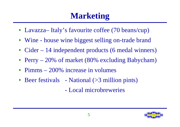# **Marketing**

- Lavazza— Italy's favourite coffee (70 beans/cup)
- Wine house wine biggest selling on-trade brand
- Cider 14 independent products (6 medal winners)
- Perry 20% of market (80% excluding Babycham)
- Pimms 200% increase in volumes
- Beer festivals National (>3 million pints) - Local microbreweries

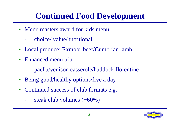# **Continued Food Development**

- Menu masters award for kids menu:
	- choice/ value/nutritional
- Local produce: Exmoor beef/Cumbrian lamb
- Enhanced menu trial:
	- paella/venison casserole/haddock florentine
- Being good/healthy options/five a day
- Continued success of club formats e.g.
	- steak club volumes  $(+60\%)$

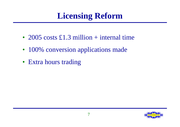# **Licensing Reform**

- 2005 costs £1.3 million + internal time
- 100% conversion applications made
- Extra hours trading

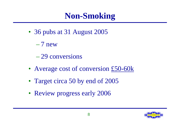# **Non-Smoking**

- 36 pubs at 31 August 2005
	- $-7$  new
	- 29 conversions
- Average cost of conversion £50-60k
- Target circa 50 by end of 2005
- Review progress early 2006

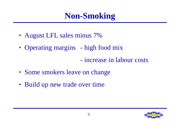## **Non-Smoking**

- August LFL sales minus 7%
- Operating margins high food mix
	- increase in labour costs
- Some smokers leave on change
- Build up new trade over time

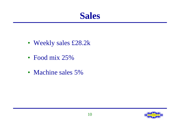#### **Sales**

- Weekly sales £28.2k
- Food mix 25%
- Machine sales 5%

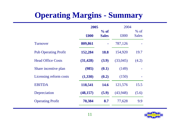### **Operating Margins - Summary**

|                             | 2005      |                        | 2004     |                        |
|-----------------------------|-----------|------------------------|----------|------------------------|
|                             | £000      | $%$ of<br><b>Sales</b> | £000     | $%$ of<br><b>Sales</b> |
| Turnover                    | 809,861   |                        | 787,126  |                        |
| <b>Pub Operating Profit</b> | 152,284   | <b>18.8</b>            | 154,920  | 19.7                   |
| <b>Head Office Costs</b>    | (31, 428) | (3.9)                  | (33,045) | (4.2)                  |
| Share incentive plan        | (985)     | (0.1)                  | (149)    |                        |
| Licensing reform costs      | (1,330)   | (0.2)                  | (150)    |                        |
| <b>EBITDA</b>               | 118,541   | 14.6                   | 121,576  | 15.5                   |
| Depreciation                | (48, 157) | (5.9)                  | (43,948) | (5.6)                  |
| <b>Operating Profit</b>     | 70,384    | 8.7                    | 77,628   | 9.9                    |
|                             |           |                        |          |                        |

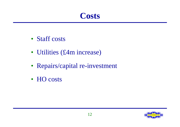#### **Costs**

- Staff costs
- Utilities (£4m increase)
- Repairs/capital re-investment
- HO costs

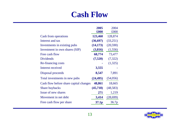#### **Cash Flow**

|                                        | 2005              | 2004     |
|----------------------------------------|-------------------|----------|
|                                        | £000              | £000     |
| Cash from operations                   | 123,460           | 128,874  |
| Interest and tax                       | (36,697)          | (33,251) |
| Investments in existing pubs           | (14, 173)         | (20,590) |
| Investment in own shares (SIP)         | (3,816)           | (1, 556) |
| Free cash flow                         | 68,774            | 73,477   |
| <b>Dividends</b>                       | (7,520)           | (7, 322) |
| Re-financing costs                     |                   | (1,325)  |
| Interest received                      | 3,555             |          |
| Disposal proceeds                      | 8,547             | 7,891    |
| Total investments in new pubs          | (24, 495)         | (54,056) |
| Cash flow before share capital changes | 48,861            | 18,665   |
| <b>Share buybacks</b>                  | (45, 718)         | (48,583) |
| Issue of new shares                    | 271               | 1,219    |
| Movement in net debt                   | 3,414             | (28,699) |
| Free cash flow per share               | 37.1 <sub>p</sub> | 36.7p    |

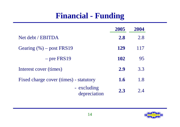#### **Financial - Funding**

|                                        | 2005 | 2004 |
|----------------------------------------|------|------|
| Net debt / EBITDA                      | 2.8  | 2.8  |
| Gearing $(\% )$ – post FRS19           | 129  | 117  |
| $-$ pre FRS19                          | 102  | 95   |
| Interest cover (times)                 | 2.9  | 3.3  |
| Fixed charge cover (times) - statutory | 1.6  | 1.8  |
| - excluding<br>depreciation            | 2.3  | 2.4  |

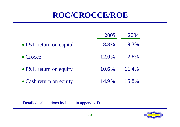#### **ROC/CROCCE/ROE**

|                         | 2005     | 2004  |
|-------------------------|----------|-------|
| • P&L return on capital | 8.8%     | 9.3%  |
| $\bullet$ Crocce        | $12.0\%$ | 12.6% |
| • P&L return on equity  | $10.6\%$ | 11.4% |
| • Cash return on equity | $14.9\%$ | 15.8% |

Detailed calculations included in appendix D

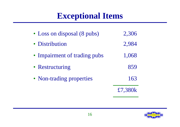### **Exceptional Items**

| • Loss on disposal (8 pubs)  | 2,306   |
|------------------------------|---------|
| • Distribution               | 2,984   |
| • Impairment of trading pubs | 1,068   |
| • Restructuring              | 859     |
| • Non-trading properties     | 163     |
|                              | £7.380k |

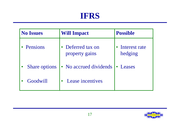#### **IFRS**

| <b>No Issues</b>     | <b>Will Impact</b>                | <b>Possible</b>          |  |  |
|----------------------|-----------------------------------|--------------------------|--|--|
| • Pensions           | Deferred tax on<br>property gains | Interest rate<br>hedging |  |  |
| <b>Share options</b> | • No accrued dividends            | • Leases                 |  |  |
| Goodwill             | Lease incentives                  |                          |  |  |

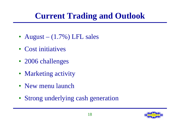# **Current Trading and Outlook**

- August  $-$  (1.7%) LFL sales
- Cost initiatives
- 2006 challenges
- Marketing activity
- New menu launch
- Strong underlying cash generation

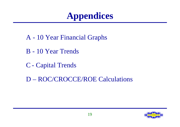# **Appendices**

- A 10 Year Financial Graphs
- B 10 Year Trends
- C Capital Trends
- D ROC/CROCCE/ROE Calculations

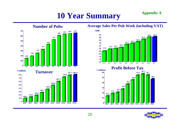### **10 Year Summary Appendix A**



**1996 1997 1998 1999 2000 2001 2002 2003 2004 2005**

**100.5**

**0100 200** **139.4**

#### **Average Sales Per Pub Week (including VAT)**



**Profit Before Tax**



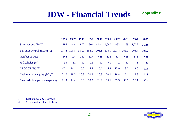#### **JDW - Financial Trends**

|                                         | 1996  | 1997  | 1998  | 1999  | 2000  | 2001        | 2002  | 2003  | 2004  | 2005        |
|-----------------------------------------|-------|-------|-------|-------|-------|-------------|-------|-------|-------|-------------|
| Sales per pub $(\text{\pounds}000)$     | 786   | 848   | 872   | 904   |       | 1,004 1,040 | 1,093 | 1,169 | 1,239 | 1,246       |
| EBITDA per pub $(\text{\pounds}000)(1)$ | 177.6 | 190.8 | 184.9 | 188.0 | 203.8 | 205.9       | 207.4 | 201.9 | 204.4 | 195.7       |
| Number of pubs                          | 146   | 194   | 252   | 327   | 428   | 522         | 608   | 635   | 643   | 655         |
| $%$ freeholds $(\%)$                    | 35    | 31    | 30    | 21    | 32    | 40          | 42    | 42    | 41    | 41          |
| $CROCCE$ $(\%)(2)$                      | 17.1  | 14.1  | 15.0  | 15.7  | 15.6  | 15.3        | 13.9  | 13.0  | 12.6  | <b>12.0</b> |
| Cash return on equity $(\%)$ (2)        | 21.7  | 18.3  | 20.8  | 20.9  | 20.3  | 20.1        | 18.8  | 17.1  | 15.8  | 14.9        |
| Free cash flow per share (pence)        | 11.3  | 14.4  | 13.3  | 20.3  | 24.2  | 29.1        | 33.5  | 38.8  | 36.7  | 37.1        |

(1) Excluding sale & leaseback

(2) See appendix D for calculation



**Appendix B**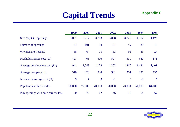#### **Capital Trends**

| <b>Appendix C</b> |  |
|-------------------|--|
|-------------------|--|

|                                    | 1999   | 2000           | 2001           | 2002   | 2003           | 2004   | 2005   |
|------------------------------------|--------|----------------|----------------|--------|----------------|--------|--------|
| Size $(sq.fit.)$ – openings        | 3,037  | 3,217          | 3,713          | 3,808  | 3,721          | 4,317  | 4,176  |
| Number of openings                 | 84     | 101            | 94             | 87     | 45             | 28     | 13     |
| % which are freehold               | 58     | 67             | 75             | 53     | 56             | 43     | 54     |
| Freehold average cost $f(k)$       | 427    | 465            | 506            | 597    | 511            | 640    | 873    |
| Average development cost $(fk)$    | 941    | 1,049          | 1,178          | 1,262  | 1,317          | 1,431  | 1,401  |
| Average cost per sq. ft.           | 310    | 326            | 334            | 331    | 354            | 331    | 335    |
| Increase in average cost $(\%)$    | 9      | $\overline{4}$ | $\overline{3}$ | $-1$   | $\overline{7}$ | $-6$   | 5      |
| Population within 2 miles          | 70,000 | 77,000         | 70,000         | 70,000 | 73,000         | 51,000 | 64,000 |
| Pub openings with beer gardens (%) | 50     | 73             | 62             | 46     | 51             | 54     | 62     |

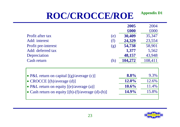#### **ROC/CROCCE/ROE Appendix D1**

|                                                           |     | 2005     | 2004    |
|-----------------------------------------------------------|-----|----------|---------|
|                                                           |     | £000     | £000    |
| <b>Profit after tax</b>                                   | (e) | 30,409   | 35,347  |
| Add: interest                                             | (f) | 24,329   | 23,554  |
| Profit pre-interest                                       | (g) | 54,738   | 58,901  |
| Add: deferred tax                                         |     | 1,377    | 5,562   |
| Depreciation                                              |     | 48,157   | 43,948  |
| Cash return                                               | (h) | 104,272  | 108,411 |
|                                                           |     |          |         |
|                                                           |     |          |         |
| • P&L return on capital $[(g)/\text{average}(c)]$         |     | $8.8\%$  | 9.3%    |
| • CROCCE [(h)/average (d)]                                |     | 12.0%    | 12.6%   |
| • P&L return on equity $[(e)/average(a)]$                 |     | $10.6\%$ | 11.4%   |
| • Cash return on equity $[(h)-(f)/\text{average}(d)-(b)]$ |     | 14.9%    | 15.8%   |
|                                                           |     |          |         |